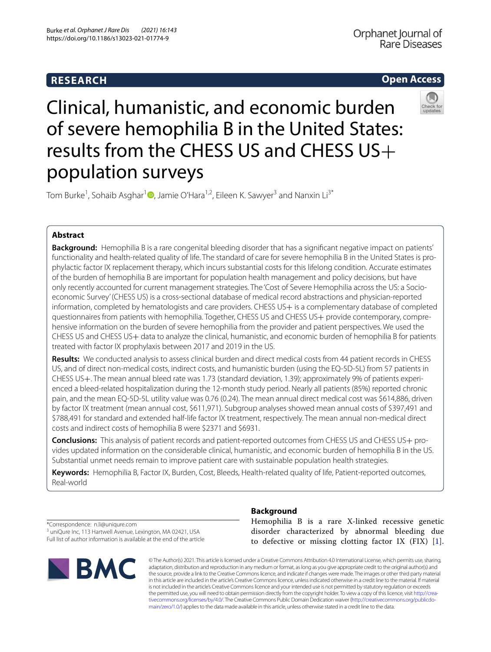# **RESEARCH**

# **Open Access**



# Clinical, humanistic, and economic burden of severe hemophilia B in the United States: results from the CHESS US and CHESS US+ population surveys

Tom Burke<sup>1</sup>[,](http://orcid.org/0000-0001-8276-0131) Sohaib Asghar<sup>1</sup>©, Jamie O'Hara<sup>1,2</sup>, Eileen K. Sawyer<sup>3</sup> and Nanxin Li<sup>3\*</sup>

# **Abstract**

**Background:** Hemophilia B is a rare congenital bleeding disorder that has a signifcant negative impact on patients' functionality and health-related quality of life. The standard of care for severe hemophilia B in the United States is prophylactic factor IX replacement therapy, which incurs substantial costs for this lifelong condition. Accurate estimates of the burden of hemophilia B are important for population health management and policy decisions, but have only recently accounted for current management strategies. The 'Cost of Severe Hemophilia across the US: a Socioeconomic Survey' (CHESS US) is a cross-sectional database of medical record abstractions and physician-reported information, completed by hematologists and care providers. CHESS US+ is a complementary database of completed questionnaires from patients with hemophilia. Together, CHESS US and CHESS US+ provide contemporary, comprehensive information on the burden of severe hemophilia from the provider and patient perspectives. We used the CHESS US and CHESS US+ data to analyze the clinical, humanistic, and economic burden of hemophilia B for patients treated with factor IX prophylaxis between 2017 and 2019 in the US.

**Results:** We conducted analysis to assess clinical burden and direct medical costs from 44 patient records in CHESS US, and of direct non-medical costs, indirect costs, and humanistic burden (using the EQ-5D-5L) from 57 patients in CHESS US+. The mean annual bleed rate was 1.73 (standard deviation, 1.39); approximately 9% of patients experienced a bleed-related hospitalization during the 12-month study period. Nearly all patients (85%) reported chronic pain, and the mean EQ-5D-5L utility value was 0.76 (0.24). The mean annual direct medical cost was \$614,886, driven by factor IX treatment (mean annual cost, \$611,971). Subgroup analyses showed mean annual costs of \$397,491 and \$788,491 for standard and extended half-life factor IX treatment, respectively. The mean annual non-medical direct costs and indirect costs of hemophilia B were \$2371 and \$6931.

**Conclusions:** This analysis of patient records and patient-reported outcomes from CHESS US and CHESS US+ provides updated information on the considerable clinical, humanistic, and economic burden of hemophilia B in the US. Substantial unmet needs remain to improve patient care with sustainable population health strategies.

**Keywords:** Hemophilia B, Factor IX, Burden, Cost, Bleeds, Health-related quality of life, Patient-reported outcomes, Real-world

**Background**

\*Correspondence: n.li@uniqure.com

<sup>3</sup> uniQure Inc, 113 Hartwell Avenue, Lexington, MA 02421, USA Full list of author information is available at the end of the article



Hemophilia B is a rare X-linked recessive genetic disorder characterized by abnormal bleeding due to defective or missing clotting factor IX  $(FIX)$  [[1](#page-6-0)].

© The Author(s) 2021. This article is licensed under a Creative Commons Attribution 4.0 International License, which permits use, sharing, adaptation, distribution and reproduction in any medium or format, as long as you give appropriate credit to the original author(s) and the source, provide a link to the Creative Commons licence, and indicate if changes were made. The images or other third party material in this article are included in the article's Creative Commons licence, unless indicated otherwise in a credit line to the material. If material is not included in the article's Creative Commons licence and your intended use is not permitted by statutory regulation or exceeds the permitted use, you will need to obtain permission directly from the copyright holder. To view a copy of this licence, visit [http://crea](http://creativecommons.org/licenses/by/4.0/)[tivecommons.org/licenses/by/4.0/.](http://creativecommons.org/licenses/by/4.0/) The Creative Commons Public Domain Dedication waiver ([http://creativecommons.org/publicdo](http://creativecommons.org/publicdomain/zero/1.0/)[main/zero/1.0/\)](http://creativecommons.org/publicdomain/zero/1.0/) applies to the data made available in this article, unless otherwise stated in a credit line to the data.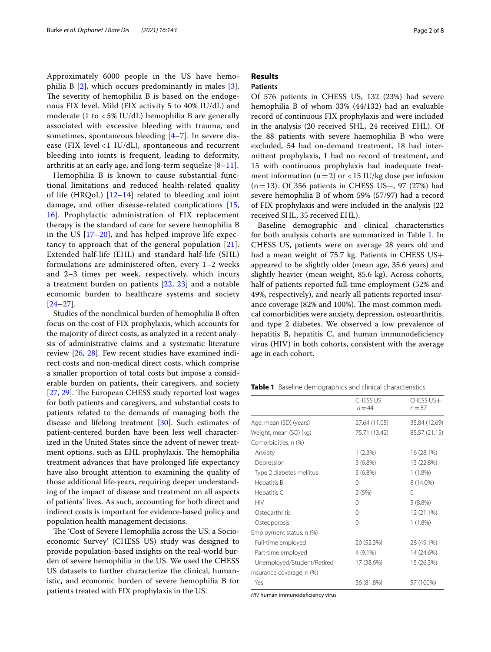Approximately 6000 people in the US have hemophilia B [[2\]](#page-6-1), which occurs predominantly in males [[3\]](#page-6-2). The severity of hemophilia B is based on the endogenous FIX level. Mild (FIX activity 5 to 40% IU/dL) and moderate (1 to < 5% IU/dL) hemophilia B are generally associated with excessive bleeding with trauma, and sometimes, spontaneous bleeding  $[4-7]$  $[4-7]$ . In severe disease (FIX level < 1 IU/dL), spontaneous and recurrent bleeding into joints is frequent, leading to deformity, arthritis at an early age, and long-term sequelae [[8](#page-6-5)–[11](#page-6-6)].

Hemophilia B is known to cause substantial functional limitations and reduced health-related quality of life (HRQoL)  $[12-14]$  $[12-14]$  related to bleeding and joint damage, and other disease-related complications [\[15](#page-6-9), [16\]](#page-6-10). Prophylactic administration of FIX replacement therapy is the standard of care for severe hemophilia B in the US  $[17–20]$  $[17–20]$ , and has helped improve life expectancy to approach that of the general population  $[21]$  $[21]$ . Extended half-life (EHL) and standard half-life (SHL) formulations are administered often, every 1–2 weeks and 2–3 times per week, respectively, which incurs a treatment burden on patients [[22,](#page-6-14) [23](#page-6-15)] and a notable economic burden to healthcare systems and society [[24](#page-6-16)[–27](#page-6-17)].

Studies of the nonclinical burden of hemophilia B often focus on the cost of FIX prophylaxis, which accounts for the majority of direct costs, as analyzed in a recent analysis of administrative claims and a systematic literature review [\[26](#page-6-18), [28\]](#page-6-19). Few recent studies have examined indirect costs and non-medical direct costs, which comprise a smaller proportion of total costs but impose a considerable burden on patients, their caregivers, and society [[27,](#page-6-17) [29](#page-7-0)]. The European CHESS study reported lost wages for both patients and caregivers, and substantial costs to patients related to the demands of managing both the disease and lifelong treatment [\[30](#page-7-1)]. Such estimates of patient-centered burden have been less well characterized in the United States since the advent of newer treatment options, such as EHL prophylaxis. The hemophilia treatment advances that have prolonged life expectancy have also brought attention to examining the quality of those additional life-years, requiring deeper understanding of the impact of disease and treatment on all aspects of patients' lives. As such, accounting for both direct and indirect costs is important for evidence-based policy and population health management decisions.

The 'Cost of Severe Hemophilia across the US: a Socioeconomic Survey' (CHESS US) study was designed to provide population-based insights on the real-world burden of severe hemophilia in the US. We used the CHESS US datasets to further characterize the clinical, humanistic, and economic burden of severe hemophilia B for patients treated with FIX prophylaxis in the US.

# **Results**

# **Patients**

Of 576 patients in CHESS US, 132 (23%) had severe hemophilia B of whom 33% (44/132) had an evaluable record of continuous FIX prophylaxis and were included in the analysis (20 received SHL, 24 received EHL). Of the 88 patients with severe haemophilia B who were excluded, 54 had on-demand treatment, 18 had intermittent prophylaxis, 1 had no record of treatment, and 15 with continuous prophylaxis had inadequate treatment information ( $n=2$ ) or <15 IU/kg dose per infusion  $(n=13)$ . Of 356 patients in CHESS US+, 97 (27%) had severe hemophilia B of whom 59% (57/97) had a record of FIX prophylaxis and were included in the analysis (22 received SHL, 35 received EHL).

Baseline demographic and clinical characteristics for both analysis cohorts are summarized in Table [1](#page-1-0). In CHESS US, patients were on average 28 years old and had a mean weight of 75.7 kg. Patients in CHESS US+ appeared to be slightly older (mean age, 35.6 years) and slightly heavier (mean weight, 85.6 kg). Across cohorts, half of patients reported full-time employment (52% and 49%, respectively), and nearly all patients reported insurance coverage (82% and 100%). The most common medical comorbidities were anxiety, depression, osteoarthritis, and type 2 diabetes. We observed a low prevalence of hepatitis B, hepatitis C, and human immunodeficiency virus (HIV) in both cohorts, consistent with the average age in each cohort.

<span id="page-1-0"></span>**Table 1** Baseline demographics and clinical characteristics

|                            | CHESS US<br>$n = 44$ | CHESS US+<br>$n = 57$ |
|----------------------------|----------------------|-----------------------|
| Age, mean (SD) (years)     | 27.64 (11.05)        | 35.84 (12.69)         |
| Weight, mean (SD) (kg)     | 75.71 (13.42)        | 85.57 (21.15)         |
| Comorbidities, n (%)       |                      |                       |
| Anxiety                    | 1(2.3%)              | 16 (28.1%)            |
| Depression                 | 3(6.8%)              | 13 (22.8%)            |
| Type 2 diabetes mellitus   | $3(6.8\%)$           | $1(1.8\%)$            |
| Hepatitis B                | 0                    | 8 (14.0%)             |
| Hepatitis C                | 2(5%)                | $\Omega$              |
| <b>HIV</b>                 | 0                    | $5(8.8\%)$            |
| Osteoarthritis             | 0                    | 12 (21.1%)            |
| Osteoporosis               | 0                    | $1(1.8\%)$            |
| Employment status, n (%)   |                      |                       |
| Full-time employed         | 20 (52.3%)           | 28 (49.1%)            |
| Part-time employed         | $4(9.1\%)$           | 14 (24.6%)            |
| Unemployed/Student/Retired | 17 (38.6%)           | 15 (26.3%)            |
| Insurance coverage, n (%)  |                      |                       |
| Yes                        | 36 (81.8%)           | 57 (100%)             |

HIV human immunodeficiency virus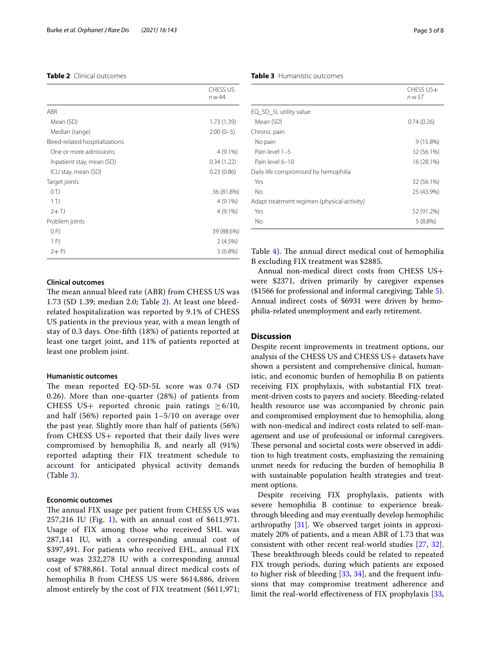# <span id="page-2-0"></span>**Table 2** Clinical outcomes

|                                | <b>CHESS US</b><br>$n = 44$ |
|--------------------------------|-----------------------------|
| <b>ABR</b>                     |                             |
| Mean (SD)                      | 1.73(1.39)                  |
| Median (range)                 | $2.00(0-5)$                 |
| Bleed-related hospitalizations |                             |
| One or more admissions         | $4(9.1\%)$                  |
| Inpatient stay, mean (SD)      | 0.34(1.22)                  |
| ICU stay, mean (SD)            | 0.23(0.86)                  |
| Target joints                  |                             |
| 0 <sub>TJ</sub>                | 36 (81.8%)                  |
| 1 <sub>TJ</sub>                | $4(9.1\%)$                  |
| $2+TJ$                         | 4 (9.1%)                    |
| Problem joints                 |                             |
| 0P                             | 39 (88.6%)                  |
| 1 PJ                           | $2(4.5\%)$                  |
| $2 + P$                        | $3(6.8\%)$                  |

# **Clinical outcomes**

The mean annual bleed rate (ABR) from CHESS US was 1.73 (SD 1.39; median 2.0; Table [2\)](#page-2-0). At least one bleedrelated hospitalization was reported by 9.1% of CHESS US patients in the previous year, with a mean length of stay of 0.3 days. One-ffth (18%) of patients reported at least one target joint, and 11% of patients reported at least one problem joint.

# **Humanistic outcomes**

The mean reported EQ-5D-5L score was 0.74 (SD 0.26). More than one-quarter (28%) of patients from CHESS US+ reported chronic pain ratings  $>6/10$ , and half (56%) reported pain 1–5/10 on average over the past year. Slightly more than half of patients (56%) from CHESS US+ reported that their daily lives were compromised by hemophilia B, and nearly all (91%) reported adapting their FIX treatment schedule to account for anticipated physical activity demands (Table [3\)](#page-2-1).

# **Economic outcomes**

The annual FIX usage per patient from CHESS US was 257,216 IU (Fig. [1\)](#page-3-0), with an annual cost of \$611,971. Usage of FIX among those who received SHL was 287,141 IU, with a corresponding annual cost of \$397,491. For patients who received EHL, annual FIX usage was 232,278 IU with a corresponding annual cost of \$788,861. Total annual direct medical costs of hemophilia B from CHESS US were \$614,886, driven almost entirely by the cost of FIX treatment (\$611,971;

# <span id="page-2-1"></span>**Table 3** Humanistic outcomes

|                                             | CHESS US+<br>$n = 57$ |
|---------------------------------------------|-----------------------|
| EQ_5D_5L utility value                      |                       |
| Mean (SD)                                   | 0.74(0.26)            |
| Chronic pain                                |                       |
| No pain                                     | $9(15.8\%)$           |
| Pain level 1-5                              | 32 (56.1%)            |
| Pain level 6-10                             | 16 (28.1%)            |
| Daily life compromised by hemophilia        |                       |
| Yes                                         | 32 (56.1%)            |
| No                                          | 25 (43.9%)            |
| Adapt treatment regimen (physical activity) |                       |
| Yes                                         | 52 (91.2%)            |
| Nο                                          | $5(8.8\%)$            |

Table [4\)](#page-4-0). The annual direct medical cost of hemophilia B excluding FIX treatment was \$2885.

Annual non-medical direct costs from CHESS US+ were \$2371, driven primarily by caregiver expenses (\$1566 for professional and informal caregiving; Table [5](#page-4-1)). Annual indirect costs of \$6931 were driven by hemophilia-related unemployment and early retirement.

# **Discussion**

Despite recent improvements in treatment options, our analysis of the CHESS US and CHESS US+ datasets have shown a persistent and comprehensive clinical, humanistic, and economic burden of hemophilia B on patients receiving FIX prophylaxis, with substantial FIX treatment-driven costs to payers and society. Bleeding-related health resource use was accompanied by chronic pain and compromised employment due to hemophilia, along with non-medical and indirect costs related to self-management and use of professional or informal caregivers. These personal and societal costs were observed in addition to high treatment costs, emphasizing the remaining unmet needs for reducing the burden of hemophilia B with sustainable population health strategies and treatment options.

Despite receiving FIX prophylaxis, patients with severe hemophilia B continue to experience breakthrough bleeding and may eventually develop hemophilic arthropathy [\[31\]](#page-7-2). We observed target joints in approximately 20% of patients, and a mean ABR of 1.73 that was consistent with other recent real-world studies [[27,](#page-6-17) [32](#page-7-3)]. These breakthrough bleeds could be related to repeated FIX trough periods, during which patients are exposed to higher risk of bleeding [\[33](#page-7-4), [34](#page-7-5)], and the frequent infusions that may compromise treatment adherence and limit the real-world efectiveness of FIX prophylaxis [[33](#page-7-4),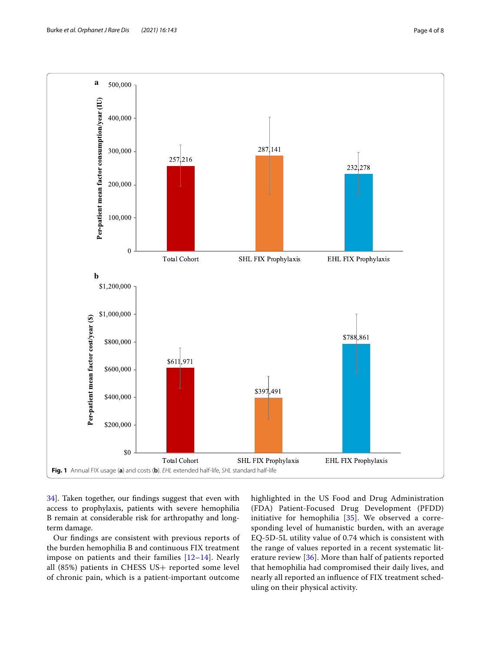

<span id="page-3-0"></span>[34\]](#page-7-5). Taken together, our fndings suggest that even with access to prophylaxis, patients with severe hemophilia B remain at considerable risk for arthropathy and longterm damage.

Our fndings are consistent with previous reports of the burden hemophilia B and continuous FIX treatment impose on patients and their families [[12–](#page-6-7)[14](#page-6-8)]. Nearly all (85%) patients in CHESS US+ reported some level of chronic pain, which is a patient-important outcome

highlighted in the US Food and Drug Administration (FDA) Patient-Focused Drug Development (PFDD) initiative for hemophilia [[35](#page-7-6)]. We observed a corresponding level of humanistic burden, with an average EQ-5D-5L utility value of 0.74 which is consistent with the range of values reported in a recent systematic literature review [\[36](#page-7-7)]. More than half of patients reported that hemophilia had compromised their daily lives, and nearly all reported an infuence of FIX treatment scheduling on their physical activity.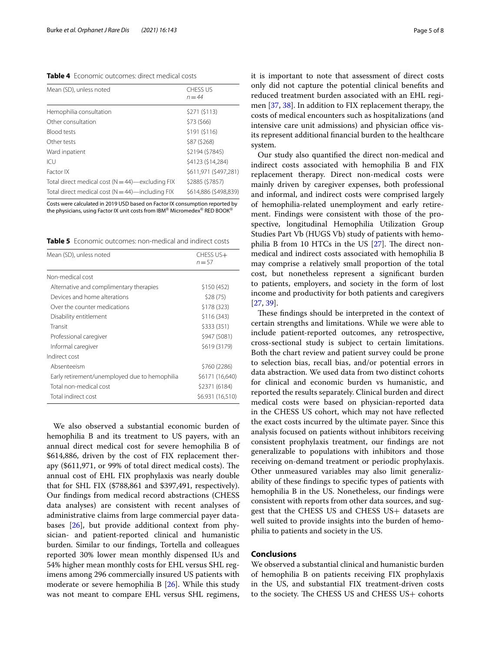<span id="page-4-0"></span>**Table 4** Economic outcomes: direct medical costs

| Mean (SD), unless noted                              | <b>CHESS US</b><br>$n = 44$ |
|------------------------------------------------------|-----------------------------|
| Hemophilia consultation                              | \$271 (\$113)               |
| Other consultation                                   | \$73 (\$66)                 |
| <b>Blood tests</b>                                   | \$191 (\$116)               |
| Other tests                                          | \$87 (\$268)                |
| Ward inpatient                                       | \$2194 (\$7845)             |
| ICU                                                  | \$4123 (\$14.284)           |
| Factor IX                                            | \$611.971 (\$497.281)       |
| Total direct medical cost ( $N = 44$ )—excluding FIX | \$2885 (\$7857)             |
| Total direct medical cost ( $N = 44$ )—including FIX | \$614,886 (\$498,839)       |

Costs were calculated in 2019 USD based on Factor IX consumption reported by the physicians, using Factor IX unit costs from IBM® Micromedex® RED BOOK<sup>®</sup>

<span id="page-4-1"></span>**Table 5** Economic outcomes: non-medical and indirect costs

| Mean (SD), unless noted                       | CHESS US+<br>$n = 57$ |
|-----------------------------------------------|-----------------------|
| Non-medical cost                              |                       |
| Alternative and complimentary therapies       | \$150 (452)           |
| Devices and home alterations                  | \$28(75)              |
| Over the counter medications                  | \$178 (323)           |
| Disability entitlement                        | \$116 (343)           |
| Transit                                       | \$333 (351)           |
| Professional caregiver                        | \$947 (5081)          |
| Informal caregiver                            | \$619 (3179)          |
| Indirect cost                                 |                       |
| Absenteeism                                   | \$760 (2286)          |
| Early retirement/unemployed due to hemophilia | \$6171 (16,640)       |
| Total non-medical cost                        | \$2371 (6184)         |
| Total indirect cost                           | \$6.931 (16,510)      |

We also observed a substantial economic burden of hemophilia B and its treatment to US payers, with an annual direct medical cost for severe hemophilia B of \$614,886, driven by the cost of FIX replacement therapy (\$611,971, or 99% of total direct medical costs). The annual cost of EHL FIX prophylaxis was nearly double that for SHL FIX (\$788,861 and \$397,491, respectively). Our fndings from medical record abstractions (CHESS data analyses) are consistent with recent analyses of administrative claims from large commercial payer databases [\[26](#page-6-18)], but provide additional context from physician- and patient-reported clinical and humanistic burden. Similar to our fndings, Tortella and colleagues reported 30% lower mean monthly dispensed IUs and 54% higher mean monthly costs for EHL versus SHL regimens among 296 commercially insured US patients with moderate or severe hemophilia B [[26\]](#page-6-18). While this study was not meant to compare EHL versus SHL regimens, it is important to note that assessment of direct costs only did not capture the potential clinical benefts and reduced treatment burden associated with an EHL regimen [[37](#page-7-8), [38\]](#page-7-9). In addition to FIX replacement therapy, the costs of medical encounters such as hospitalizations (and intensive care unit admissions) and physician office visits represent additional fnancial burden to the healthcare system.

Our study also quantifed the direct non-medical and indirect costs associated with hemophilia B and FIX replacement therapy. Direct non-medical costs were mainly driven by caregiver expenses, both professional and informal, and indirect costs were comprised largely of hemophilia-related unemployment and early retirement. Findings were consistent with those of the prospective, longitudinal Hemophilia Utilization Group Studies Part Vb (HUGS Vb) study of patients with hemophilia B from 10 HTCs in the US  $[27]$  $[27]$ . The direct nonmedical and indirect costs associated with hemophilia B may comprise a relatively small proportion of the total cost, but nonetheless represent a signifcant burden to patients, employers, and society in the form of lost income and productivity for both patients and caregivers [[27,](#page-6-17) [39](#page-7-10)].

These findings should be interpreted in the context of certain strengths and limitations. While we were able to include patient-reported outcomes, any retrospective, cross-sectional study is subject to certain limitations. Both the chart review and patient survey could be prone to selection bias, recall bias, and/or potential errors in data abstraction. We used data from two distinct cohorts for clinical and economic burden vs humanistic, and reported the results separately. Clinical burden and direct medical costs were based on physician-reported data in the CHESS US cohort, which may not have refected the exact costs incurred by the ultimate payer. Since this analysis focused on patients without inhibitors receiving consistent prophylaxis treatment, our fndings are not generalizable to populations with inhibitors and those receiving on-demand treatment or periodic prophylaxis. Other unmeasured variables may also limit generalizability of these fndings to specifc types of patients with hemophilia B in the US. Nonetheless, our fndings were consistent with reports from other data sources, and suggest that the CHESS US and CHESS US+ datasets are well suited to provide insights into the burden of hemophilia to patients and society in the US.

# **Conclusions**

We observed a substantial clinical and humanistic burden of hemophilia B on patients receiving FIX prophylaxis in the US, and substantial FIX treatment-driven costs to the society. The CHESS US and CHESS US+ cohorts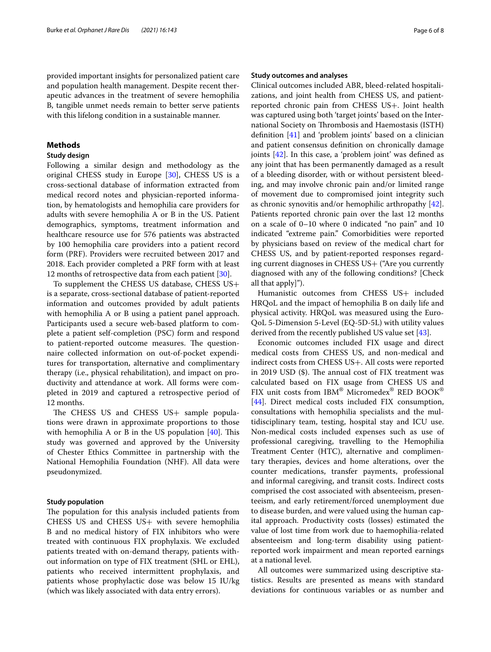provided important insights for personalized patient care and population health management. Despite recent therapeutic advances in the treatment of severe hemophilia B, tangible unmet needs remain to better serve patients with this lifelong condition in a sustainable manner.

# **Methods**

# **Study design**

Following a similar design and methodology as the original CHESS study in Europe [[30\]](#page-7-1), CHESS US is a cross-sectional database of information extracted from medical record notes and physician-reported information, by hematologists and hemophilia care providers for adults with severe hemophilia A or B in the US. Patient demographics, symptoms, treatment information and healthcare resource use for 576 patients was abstracted by 100 hemophilia care providers into a patient record form (PRF). Providers were recruited between 2017 and 2018. Each provider completed a PRF form with at least 12 months of retrospective data from each patient [[30\]](#page-7-1).

To supplement the CHESS US database, CHESS US+ is a separate, cross-sectional database of patient-reported information and outcomes provided by adult patients with hemophilia A or B using a patient panel approach. Participants used a secure web-based platform to complete a patient self-completion (PSC) form and respond to patient-reported outcome measures. The questionnaire collected information on out-of-pocket expenditures for transportation, alternative and complimentary therapy (i.e., physical rehabilitation), and impact on productivity and attendance at work. All forms were completed in 2019 and captured a retrospective period of 12 months.

The CHESS US and CHESS US+ sample populations were drawn in approximate proportions to those with hemophilia A or B in the US population  $[40]$  $[40]$ . This study was governed and approved by the University of Chester Ethics Committee in partnership with the National Hemophilia Foundation (NHF). All data were pseudonymized.

# **Study population**

The population for this analysis included patients from CHESS US and CHESS US+ with severe hemophilia B and no medical history of FIX inhibitors who were treated with continuous FIX prophylaxis. We excluded patients treated with on-demand therapy, patients without information on type of FIX treatment (SHL or EHL), patients who received intermittent prophylaxis, and patients whose prophylactic dose was below 15 IU/kg (which was likely associated with data entry errors).

# **Study outcomes and analyses**

Clinical outcomes included ABR, bleed-related hospitalizations, and joint health from CHESS US, and patientreported chronic pain from CHESS US+. Joint health was captured using both 'target joints' based on the International Society on Thrombosis and Haemostasis (ISTH) defnition [\[41\]](#page-7-12) and 'problem joints' based on a clinician and patient consensus defnition on chronically damage joints [\[42\]](#page-7-13). In this case, a 'problem joint' was defned as any joint that has been permanently damaged as a result of a bleeding disorder, with or without persistent bleeding, and may involve chronic pain and/or limited range of movement due to compromised joint integrity such as chronic synovitis and/or hemophilic arthropathy [\[42](#page-7-13)]. Patients reported chronic pain over the last 12 months on a scale of 0–10 where 0 indicated "no pain" and 10 indicated "extreme pain." Comorbidities were reported by physicians based on review of the medical chart for CHESS US, and by patient-reported responses regarding current diagnoses in CHESS US+ ("Are you currently diagnosed with any of the following conditions? [Check all that apply]").

Humanistic outcomes from CHESS US+ included HRQoL and the impact of hemophilia B on daily life and physical activity. HRQoL was measured using the Euro-QoL 5-Dimension 5-Level (EQ-5D-5L) with utility values derived from the recently published US value set [\[43\]](#page-7-14).

Economic outcomes included FIX usage and direct medical costs from CHESS US, and non-medical and indirect costs from CHESS US+. All costs were reported in 2019 USD  $(\$)$ . The annual cost of FIX treatment was calculated based on FIX usage from CHESS US and FIX unit costs from IBM® Micromedex® RED BOOK® [[44\]](#page-7-15). Direct medical costs included FIX consumption, consultations with hemophilia specialists and the multidisciplinary team, testing, hospital stay and ICU use. Non-medical costs included expenses such as use of professional caregiving, travelling to the Hemophilia Treatment Center (HTC), alternative and complimentary therapies, devices and home alterations, over the counter medications, transfer payments, professional and informal caregiving, and transit costs. Indirect costs comprised the cost associated with absenteeism, presenteeism, and early retirement/forced unemployment due to disease burden, and were valued using the human capital approach. Productivity costs (losses) estimated the value of lost time from work due to haemophilia-related absenteeism and long-term disability using patientreported work impairment and mean reported earnings at a national level.

All outcomes were summarized using descriptive statistics. Results are presented as means with standard deviations for continuous variables or as number and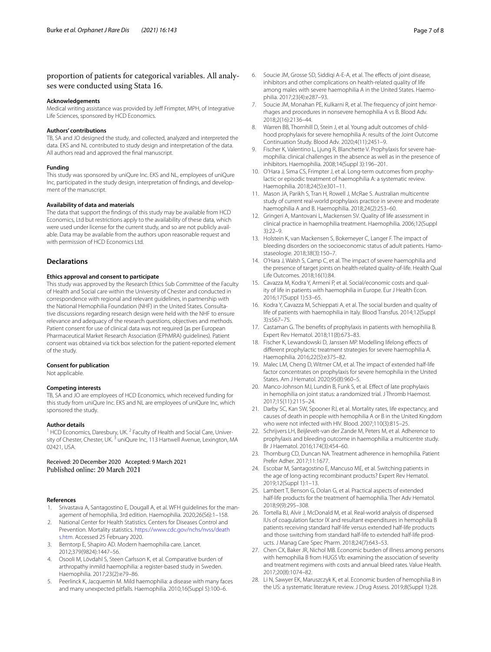# proportion of patients for categorical variables. All analyses were conducted using Stata 16.

#### **Acknowledgements**

Medical writing assistance was provided by Jeff Frimpter, MPH, of Integrative Life Sciences, sponsored by HCD Economics.

# **Authors' contributions**

TB, SA and JO designed the study, and collected, analyzed and interpreted the data. EKS and NL contributed to study design and interpretation of the data. All authors read and approved the fnal manuscript.

## **Funding**

This study was sponsored by uniQure Inc. EKS and NL, employees of uniQure Inc, participated in the study design, interpretation of fndings, and development of the manuscript.

#### **Availability of data and materials**

The data that support the fndings of this study may be available from HCD Economics, Ltd but restrictions apply to the availability of these data, which were used under license for the current study, and so are not publicly available. Data may be available from the authors upon reasonable request and with permission of HCD Economics Ltd.

# **Declarations**

# **Ethics approval and consent to participate**

This study was approved by the Research Ethics Sub Committee of the Faculty of Health and Social care within the University of Chester and conducted in correspondence with regional and relevant guidelines, in partnership with the National Hemophilia Foundation (NHF) in the United States. Consultative discussions regarding research design were held with the NHF to ensure relevance and adequacy of the research questions, objectives and methods. Patient consent for use of clinical data was not required (as per European Pharmaceutical Market Research Association (EPhMRA) guidelines). Patient consent was obtained via tick box selection for the patient-reported element of the study.

#### **Consent for publication**

Not applicable.

### **Competing interests**

TB, SA and JO are employees of HCD Economics, which received funding for this study from uniQure Inc. EKS and NL are employees of uniQure Inc, which sponsored the study.

# **Author details**

<sup>1</sup> HCD Economics, Daresbury, UK.<sup>2</sup> Faculty of Health and Social Care, University of Chester, Chester, UK.<sup>3</sup> uniQure Inc, 113 Hartwell Avenue, Lexington, MA 02421, USA.

# Received: 20 December 2020 Accepted: 9 March 2021

### **References**

- <span id="page-6-0"></span>1. Srivastava A, Santagostino E, Dougall A, et al. WFH guidelines for the management of hemophilia, 3rd edition. Haemophilia. 2020;26(S6):1–158.
- <span id="page-6-1"></span>2. National Center for Health Statistics. Centers for Diseases Control and Prevention. Mortality statistics. [https://www.cdc.gov/nchs/nvss/death](https://www.cdc.gov/nchs/nvss/deaths.htm) [s.htm](https://www.cdc.gov/nchs/nvss/deaths.htm). Accessed 25 February 2020.
- <span id="page-6-2"></span>3. Berntorp E, Shapiro AD. Modern haemophilia care. Lancet. 2012;379(9824):1447–56.
- <span id="page-6-3"></span>4. Osooli M, Lövdahl S, Steen Carlsson K, et al. Comparative burden of arthropathy inmild haemophilia: a register-based study in Sweden. Haemophilia. 2017;23(2):e79–86.
- 5. Peerlinck K, Jacquemin M. Mild haemophilia: a disease with many faces and many unexpected pitfalls. Haemophilia. 2010;16(Suppl 5):100–6.
- <span id="page-6-4"></span>philia. 2017;23(4):e287–93. 7. Soucie JM, Monahan PE, Kulkarni R, et al. The frequency of joint hemorrhages and procedures in nonsevere hemophilia A vs B. Blood Adv. 2018;2(16):2136–44.
- <span id="page-6-5"></span>8. Warren BB, Thornhill D, Stein J, et al. Young adult outcomes of childhood prophylaxis for severe hemophilia A: results of the Joint Outcome Continuation Study. Blood Adv. 2020;4(11):2451–9.
- 9. Fischer K, Valentino L, Ljung R, Blanchette V. Prophylaxis for severe haemophilia: clinical challenges in the absence as well as in the presence of inhibitors. Haemophilia. 2008;14(Suppl 3):196–201.
- 10. O'Hara J, Sima CS, Frimpter J, et al. Long-term outcomes from prophylactic or episodic treatment of haemophilia A: a systematic review. Haemophilia. 2018;24(5):e301–11.
- <span id="page-6-6"></span>11. Mason JA, Parikh S, Tran H, Rowell J, McRae S. Australian multicentre study of current real-world prophylaxis practice in severe and moderate haemophilia A and B. Haemophilia. 2018;24(2):253–60.
- <span id="page-6-7"></span>12. Gringeri A, Mantovani L, Mackensen SV. Quality of life assessment in clinical practice in haemophilia treatment. Haemophilia. 2006;12(Suppl 3):22–9.
- 13. Holstein K, van Mackensen S, Bokemeyer C, Langer F. The impact of bleeding disorders on the socioeconomic status of adult patients. Hamostaseologie. 2018;38(3):150–7.
- <span id="page-6-8"></span>14. O'Hara J, Walsh S, Camp C, et al. The impact of severe haemophilia and the presence of target joints on health-related quality-of-life. Health Qual Life Outcomes. 2018;16(1):84.
- <span id="page-6-9"></span>15. Cavazza M, Kodra Y, Armeni P, et al. Social/economic costs and quality of life in patients with haemophilia in Europe. Eur J Health Econ. 2016;17(Suppl 1):53–65.
- <span id="page-6-10"></span>16. Kodra Y, Cavazza M, Schieppati A, et al. The social burden and quality of life of patients with haemophilia in Italy. Blood Transfus. 2014;12(Suppl 3):s567–75.
- <span id="page-6-11"></span>17. Castaman G. The benefts of prophylaxis in patients with hemophilia B. Expert Rev Hematol. 2018;11(8):673–83.
- 18. Fischer K, Lewandowski D, Janssen MP. Modelling lifelong efects of diferent prophylactic treatment strategies for severe haemophilia A. Haemophilia. 2016;22(5):e375–82.
- 19. Malec LM, Cheng D, Witmer CM, et al. The impact of extended half-life factor concentrates on prophylaxis for severe hemophilia in the United States. Am J Hematol. 2020;95(8):960–5.
- <span id="page-6-12"></span>20. Manco-Johnson MJ, Lundin B, Funk S, et al. Effect of late prophylaxis in hemophilia on joint status: a randomized trial. J Thromb Haemost. 2017;15(11):2115–24.
- <span id="page-6-13"></span>21. Darby SC, Kan SW, Spooner RJ, et al. Mortality rates, life expectancy, and causes of death in people with hemophilia A or B in the United Kingdom who were not infected with HIV. Blood. 2007;110(3):815–25.
- <span id="page-6-14"></span>22. Schrijvers LH, Beijlevelt-van der Zande M, Peters M, et al. Adherence to prophylaxis and bleeding outcome in haemophilia: a multicentre study. Br J Haematol. 2016;174(3):454–60.
- <span id="page-6-15"></span>23. Thornburg CD, Duncan NA. Treatment adherence in hemophilia. Patient Prefer Adher. 2017;11:1677.
- <span id="page-6-16"></span>24. Escobar M, Santagostino E, Mancuso ME, et al. Switching patients in the age of long-acting recombinant products? Expert Rev Hematol. 2019;12(Suppl 1):1–13.
- 25. Lambert T, Benson G, Dolan G, et al. Practical aspects of extended half-life products for the treatment of haemophilia. Ther Adv Hematol. 2018;9(9):295–308.
- <span id="page-6-18"></span>26. Tortella BJ, Alvir J, McDonald M, et al. Real-world analysis of dispensed IUs of coagulation factor IX and resultant expenditures in hemophilia B patients receiving standard half-life versus extended half-life products and those switching from standard half-life to extended half-life products. J Manag Care Spec Pharm. 2018;24(7):643–53.
- <span id="page-6-17"></span>27. Chen CX, Baker JR, Nichol MB. Economic burden of illness among persons with hemophilia B from HUGS Vb: examining the association of severity and treatment regimens with costs and annual bleed rates. Value Health. 2017;20(8):1074–82.
- <span id="page-6-19"></span>28. Li N, Sawyer EK, Maruszczyk K, et al. Economic burden of hemophilia B in the US: a systematic literature review. J Drug Assess. 2019;8(Suppl 1):28.